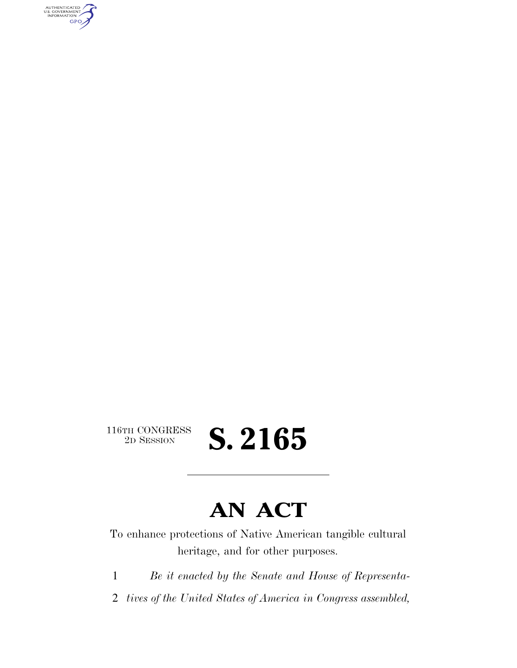AUTHENTICATED<br>U.S. GOVERNMENT<br>INFORMATION GPO

 $\begin{array}{c} \textbf{116TH CONGRESS} \\ \textbf{2D SESION} \end{array}$ 

## **S. 2165**

### **AN ACT**

To enhance protections of Native American tangible cultural heritage, and for other purposes.

1 *Be it enacted by the Senate and House of Representa-*

2 *tives of the United States of America in Congress assembled,*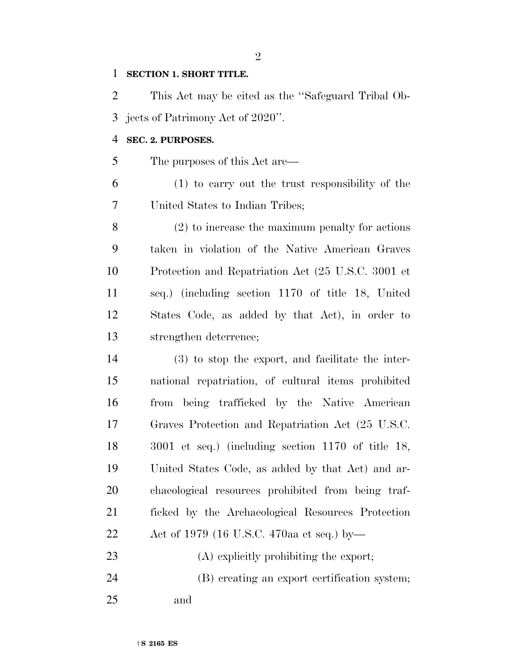#### **SECTION 1. SHORT TITLE.**

 This Act may be cited as the ''Safeguard Tribal Ob-jects of Patrimony Act of 2020''.

#### **SEC. 2. PURPOSES.**

The purposes of this Act are—

 (1) to carry out the trust responsibility of the United States to Indian Tribes;

 (2) to increase the maximum penalty for actions taken in violation of the Native American Graves Protection and Repatriation Act (25 U.S.C. 3001 et seq.) (including section 1170 of title 18, United States Code, as added by that Act), in order to strengthen deterrence;

 (3) to stop the export, and facilitate the inter- national repatriation, of cultural items prohibited from being trafficked by the Native American Graves Protection and Repatriation Act (25 U.S.C. 3001 et seq.) (including section 1170 of title 18, United States Code, as added by that Act) and ar- chaeological resources prohibited from being traf- ficked by the Archaeological Resources Protection Act of 1979 (16 U.S.C. 470aa et seq.) by—

- 23 (A) explicitly prohibiting the export;
- (B) creating an export certification system; and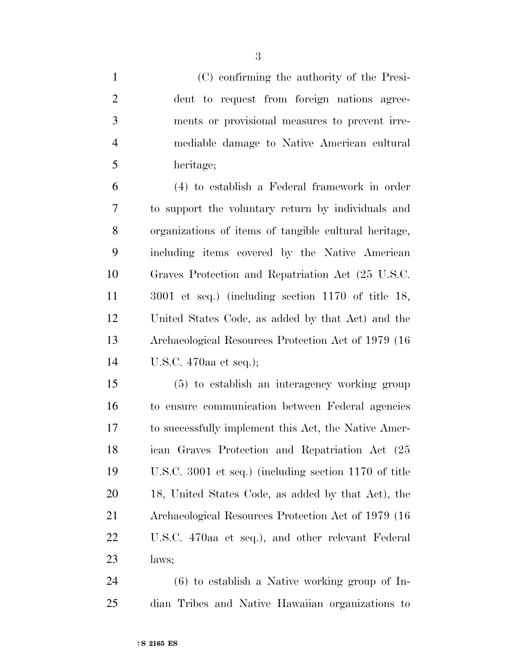(C) confirming the authority of the Presi- dent to request from foreign nations agree- ments or provisional measures to prevent irre- mediable damage to Native American cultural heritage; (4) to establish a Federal framework in order to support the voluntary return by individuals and organizations of items of tangible cultural heritage, including items covered by the Native American Graves Protection and Repatriation Act (25 U.S.C. 3001 et seq.) (including section 1170 of title 18, United States Code, as added by that Act) and the Archaeological Resources Protection Act of 1979 (16 U.S.C. 470aa et seq.);

 (5) to establish an interagency working group to ensure communication between Federal agencies to successfully implement this Act, the Native Amer- ican Graves Protection and Repatriation Act (25 U.S.C. 3001 et seq.) (including section 1170 of title 18, United States Code, as added by that Act), the Archaeological Resources Protection Act of 1979 (16 U.S.C. 470aa et seq.), and other relevant Federal laws;

 (6) to establish a Native working group of In-dian Tribes and Native Hawaiian organizations to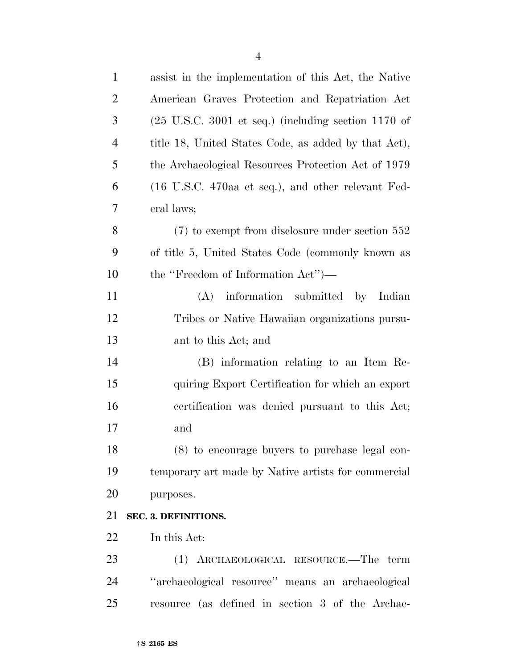| $\mathbf{1}$   | assist in the implementation of this Act, the Native                   |
|----------------|------------------------------------------------------------------------|
| $\overline{2}$ | American Graves Protection and Repatriation Act                        |
| 3              | $(25 \text{ U.S.C. } 3001 \text{ et seq.})$ (including section 1170 of |
| $\overline{4}$ | title 18, United States Code, as added by that Act),                   |
| 5              | the Archaeological Resources Protection Act of 1979                    |
| 6              | $(16 \text{ U.S.C. } 470$ aa et seq.), and other relevant Fed-         |
| 7              | eral laws;                                                             |
| 8              | $(7)$ to exempt from disclosure under section 552                      |
| 9              | of title 5, United States Code (commonly known as                      |
| 10             | the "Freedom of Information Act")—                                     |
| 11             | information submitted by Indian<br>(A)                                 |
| 12             | Tribes or Native Hawaiian organizations pursu-                         |
| 13             | ant to this Act; and                                                   |
| 14             | (B) information relating to an Item Re-                                |
| 15             | quiring Export Certification for which an export                       |
| 16             | certification was denied pursuant to this Act;                         |
| 17             | and                                                                    |
| 18             | $(8)$ to encourage buyers to purchase legal con-                       |
| 19             | temporary art made by Native artists for commercial                    |
| 20             | purposes.                                                              |
| 21             | SEC. 3. DEFINITIONS.                                                   |
| 22             | In this Act:                                                           |
| 23             | (1) ARCHAEOLOGICAL RESOURCE.—The term                                  |
| 24             | "archaeological resource" means an archaeological                      |
| 25             | resource (as defined in section 3 of the Archae-                       |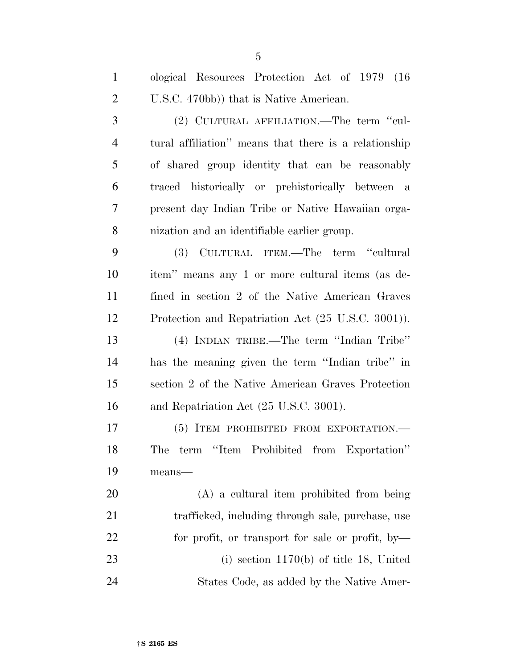| $\mathbf{1}$   | ological Resources Protection Act of 1979 (16)        |
|----------------|-------------------------------------------------------|
| $\overline{2}$ | U.S.C. 470bb)) that is Native American.               |
| 3              | (2) CULTURAL AFFILIATION.—The term "cul-              |
| $\overline{4}$ | tural affiliation" means that there is a relationship |
| 5              | of shared group identity that can be reasonably       |
| 6              | traced historically or prehistorically between a      |
| $\overline{7}$ | present day Indian Tribe or Native Hawaiian orga-     |
| 8              | nization and an identifiable earlier group.           |
| 9              | (3) CULTURAL ITEM.—The term "cultural                 |
| 10             | item" means any 1 or more cultural items (as de-      |
| 11             | fined in section 2 of the Native American Graves      |
| 12             | Protection and Repatriation Act (25 U.S.C. 3001)).    |
| 13             | (4) INDIAN TRIBE.—The term "Indian Tribe"             |
| 14             | has the meaning given the term "Indian tribe" in      |
| 15             | section 2 of the Native American Graves Protection    |
| 16             | and Repatriation Act (25 U.S.C. 3001).                |
| 17             | (5) ITEM PROHIBITED FROM EXPORTATION.-                |
| 18             | The term "Item Prohibited from Exportation"           |
| 19             | means-                                                |
| 20             | $(A)$ a cultural item prohibited from being           |
| 21             | trafficked, including through sale, purchase, use     |
| 22             | for profit, or transport for sale or profit, by-      |
| 23             | (i) section $1170(b)$ of title 18, United             |

States Code, as added by the Native Amer-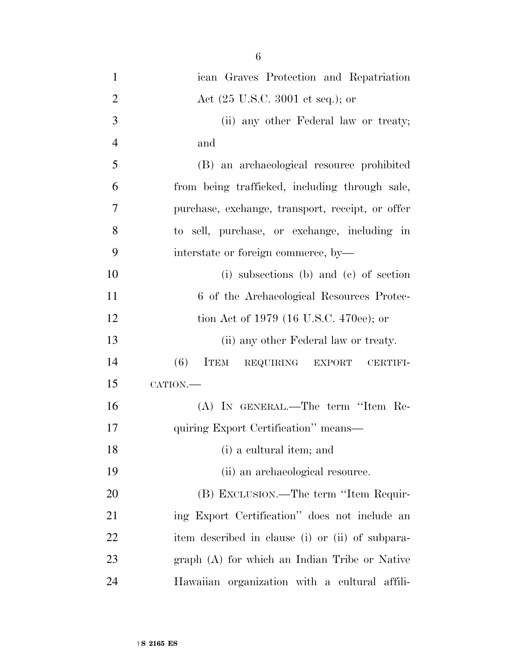| $\mathbf{1}$   | ican Graves Protection and Repatriation             |
|----------------|-----------------------------------------------------|
| $\overline{2}$ | Act $(25 \text{ U.S.C. } 3001 \text{ et seq.});$ or |
| 3              | (ii) any other Federal law or treaty;               |
| $\overline{4}$ | and                                                 |
| 5              | (B) an archaeological resource prohibited           |
| 6              | from being trafficked, including through sale,      |
| 7              | purchase, exchange, transport, receipt, or offer    |
| 8              | to sell, purchase, or exchange, including in        |
| 9              | interstate or foreign commerce, by-                 |
| 10             | (i) subsections (b) and (c) of section              |
| 11             | 6 of the Archaeological Resources Protec-           |
| 12             | tion Act of 1979 (16 U.S.C. 470ee); or              |
| 13             | (ii) any other Federal law or treaty.               |
| 14             | (6)<br>ITEM REQUIRING EXPORT<br><b>CERTIFI-</b>     |
| 15             | CATION.-                                            |
| 16             | (A) IN GENERAL.—The term "Item Re-                  |
| 17             | quiring Export Certification" means—                |
| 18             | (i) a cultural item; and                            |
| 19             | (ii) an archaeological resource.                    |
| <b>20</b>      | (B) EXCLUSION.—The term "Item Requir-               |
| 21             | ing Export Certification" does not include an       |
| <u>22</u>      | item described in clause (i) or (ii) of subpara-    |
| 23             | graph (A) for which an Indian Tribe or Native       |
| 24             | Hawaiian organization with a cultural affili-       |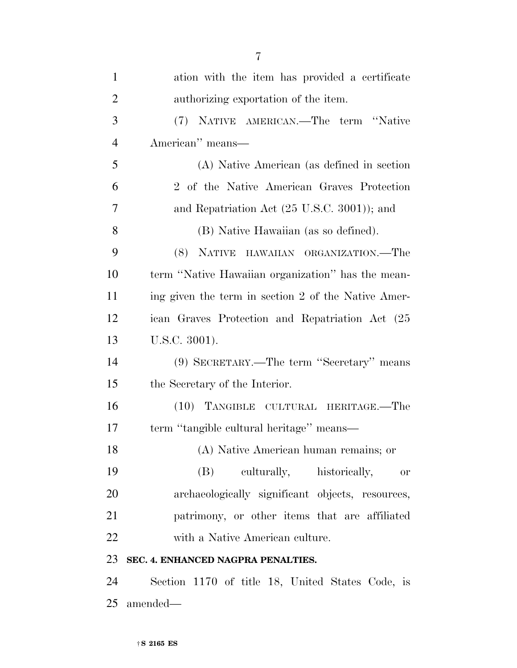| $\mathbf{1}$   | ation with the item has provided a certificate      |
|----------------|-----------------------------------------------------|
| $\overline{2}$ | authorizing exportation of the item.                |
| 3              | (7) NATIVE AMERICAN.—The term "Native               |
| $\overline{4}$ | American" means—                                    |
| 5              | (A) Native American (as defined in section          |
| 6              | 2 of the Native American Graves Protection          |
| 7              | and Repatriation Act (25 U.S.C. 3001)); and         |
| 8              | (B) Native Hawaiian (as so defined).                |
| 9              | (8) NATIVE HAWAIIAN ORGANIZATION.—The               |
| 10             | term "Native Hawaiian organization" has the mean-   |
| 11             | ing given the term in section 2 of the Native Amer- |
| 12             | ican Graves Protection and Repatriation Act (25)    |
| 13             | U.S.C. 3001).                                       |
| 14             | (9) SECRETARY.—The term "Secretary" means           |
| 15             | the Secretary of the Interior.                      |
| 16             | (10) TANGIBLE CULTURAL HERITAGE.—The                |
| 17             | term "tangible cultural heritage" means—            |
| 18             | (A) Native American human remains; or               |
| 19             | culturally, historically,<br>(B)<br><b>or</b>       |
| 20             | archaeologically significant objects, resources,    |
| 21             | patrimony, or other items that are affiliated       |
| 22             | with a Native American culture.                     |
| 23             | SEC. 4. ENHANCED NAGPRA PENALTIES.                  |
| 24             | Section 1170 of title 18, United States Code, is    |
| 25             | amended—                                            |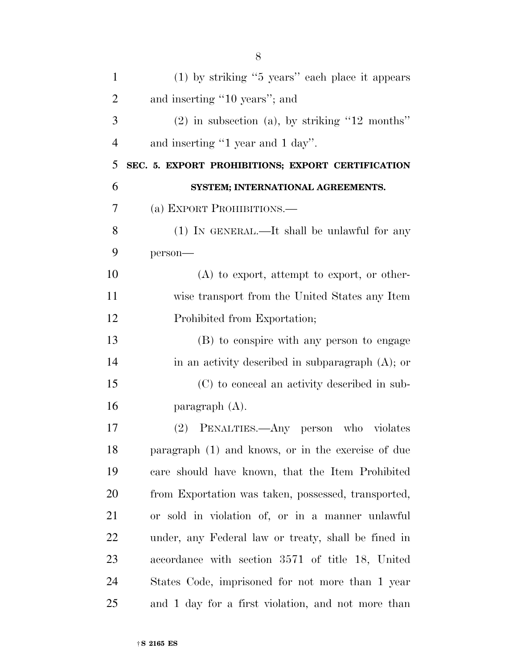| $\mathbf{1}$   | $(1)$ by striking "5 years" each place it appears   |
|----------------|-----------------------------------------------------|
| $\overline{2}$ | and inserting "10 years"; and                       |
| 3              | $(2)$ in subsection (a), by striking "12 months"    |
| $\overline{4}$ | and inserting "1 year and 1 day".                   |
| 5              | SEC. 5. EXPORT PROHIBITIONS; EXPORT CERTIFICATION   |
| 6              | SYSTEM; INTERNATIONAL AGREEMENTS.                   |
| 7              | (a) EXPORT PROHIBITIONS.—                           |
| 8              | $(1)$ IN GENERAL.—It shall be unlawful for any      |
| 9              | person-                                             |
| 10             | $(A)$ to export, attempt to export, or other-       |
| 11             | wise transport from the United States any Item      |
| 12             | Prohibited from Exportation;                        |
| 13             | (B) to conspire with any person to engage           |
| 14             | in an activity described in subparagraph $(A)$ ; or |
| 15             | (C) to conceal an activity described in sub-        |
| 16             | paragraph $(A)$ .                                   |
| 17             | (2) PENALTIES.—Any person who violates              |
| 18             | paragraph (1) and knows, or in the exercise of due  |
| 19             | care should have known, that the Item Prohibited    |
| 20             | from Exportation was taken, possessed, transported, |
| 21             | or sold in violation of, or in a manner unlawful    |
| 22             | under, any Federal law or treaty, shall be fined in |
| 23             | accordance with section 3571 of title 18, United    |
| 24             | States Code, imprisoned for not more than 1 year    |
| 25             | and 1 day for a first violation, and not more than  |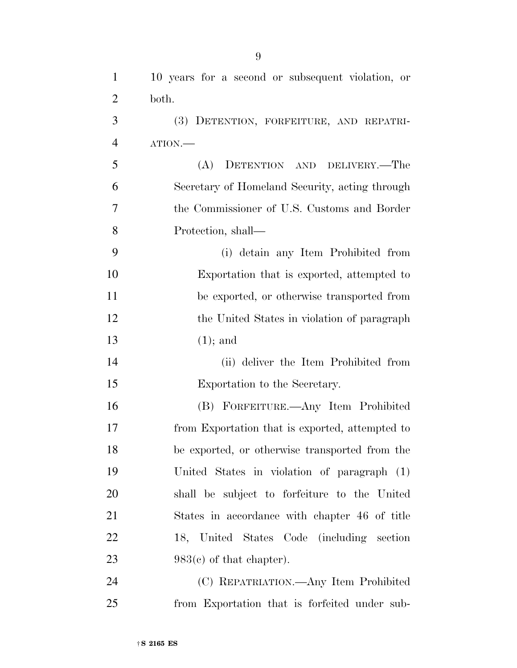| $\mathbf{1}$   | 10 years for a second or subsequent violation, or |
|----------------|---------------------------------------------------|
| $\overline{2}$ | both.                                             |
| 3              | (3) DETENTION, FORFEITURE, AND REPATRI-           |
| $\overline{4}$ | ATION.                                            |
| 5              | DETENTION AND DELIVERY.—The<br>(A)                |
| 6              | Secretary of Homeland Security, acting through    |
| $\overline{7}$ | the Commissioner of U.S. Customs and Border       |
| 8              | Protection, shall—                                |
| 9              | (i) detain any Item Prohibited from               |
| 10             | Exportation that is exported, attempted to        |
| 11             | be exported, or otherwise transported from        |
| 12             | the United States in violation of paragraph       |
| 13             | $(1);$ and                                        |
| 14             | (ii) deliver the Item Prohibited from             |
| 15             | Exportation to the Secretary.                     |
| 16             | (B) FORFEITURE.—Any Item Prohibited               |
| 17             | from Exportation that is exported, attempted to   |
| 18             | be exported, or otherwise transported from the    |
| 19             | United States in violation of paragraph (1)       |
| 20             | shall be subject to forfeiture to the United      |
| 21             | States in accordance with chapter 46 of title     |
| 22             | 18, United States Code (including section         |
| 23             | $983(c)$ of that chapter).                        |
| 24             | (C) REPATRIATION.—Any Item Prohibited             |
| 25             | from Exportation that is forfeited under sub-     |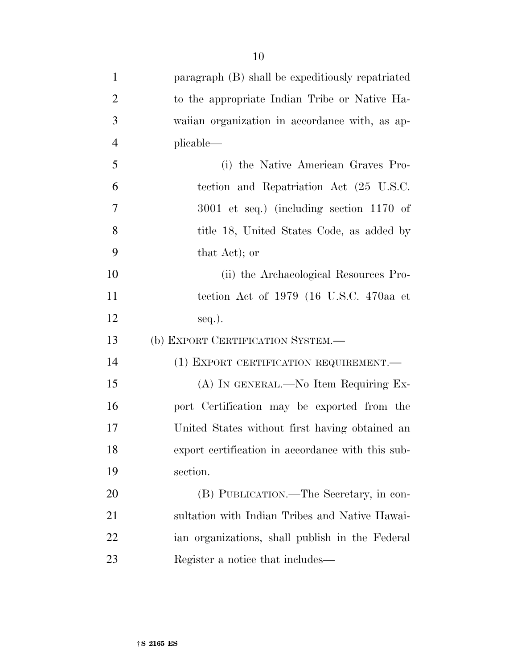| $\mathbf{1}$             | paragraph (B) shall be expeditiously repatriated |
|--------------------------|--------------------------------------------------|
| $\overline{2}$           | to the appropriate Indian Tribe or Native Ha-    |
| 3                        | waiian organization in accordance with, as ap-   |
| $\overline{4}$           | plicable—                                        |
| 5                        | (i) the Native American Graves Pro-              |
| 6                        | tection and Repatriation Act (25 U.S.C.          |
| $\overline{\mathcal{L}}$ | $3001$ et seq.) (including section 1170 of       |
| 8                        | title 18, United States Code, as added by        |
|                          |                                                  |

 (ii) the Archaeological Resources Pro- tection Act of 1979 (16 U.S.C. 470aa et 12 seq.).

(b) EXPORT CERTIFICATION SYSTEM.—

that Act); or

14 (1) EXPORT CERTIFICATION REQUIREMENT. (A) IN GENERAL.—No Item Requiring Ex- port Certification may be exported from the United States without first having obtained an export certification in accordance with this sub-section.

 (B) PUBLICATION.—The Secretary, in con- sultation with Indian Tribes and Native Hawai- ian organizations, shall publish in the Federal Register a notice that includes—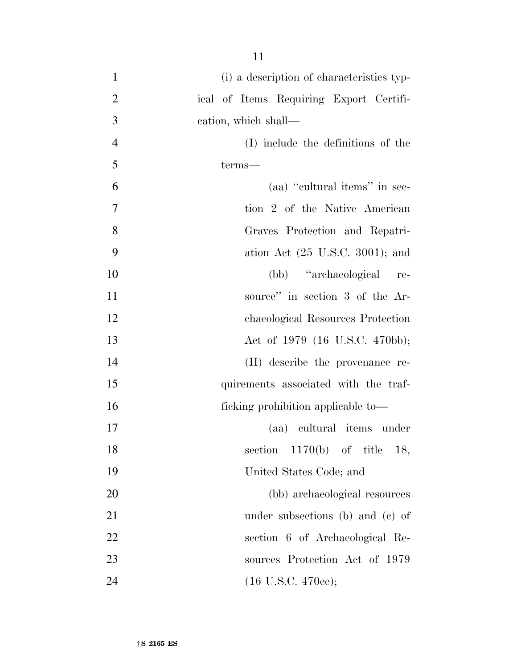| $\mathbf{1}$   | (i) a description of characteristics typ-   |
|----------------|---------------------------------------------|
| $\overline{2}$ | ical of Items Requiring Export Certifi-     |
| 3              | cation, which shall—                        |
| $\overline{4}$ | (I) include the definitions of the          |
| 5              | terms-                                      |
| 6              | (aa) "cultural items" in sec-               |
| 7              | tion 2 of the Native American               |
| 8              | Graves Protection and Repatri-              |
| 9              | ation Act $(25 \text{ U.S.C. } 3001)$ ; and |
| 10             | (bb) "archaeological"<br>re-                |
| 11             | source" in section 3 of the Ar-             |
| 12             | chaeological Resources Protection           |
| 13             | Act of 1979 (16 U.S.C. 470bb);              |
| 14             | (II) describe the provenance re-            |
| 15             | quirements associated with the traf-        |
| 16             | ficking prohibition applicable to-          |
| 17             | (aa) cultural items under                   |
| 18             | section $1170(b)$ of title 18,              |
| 19             | United States Code; and                     |
| 20             | (bb) archaeological resources               |
| 21             | under subsections (b) and (c) of            |
| 22             | section 6 of Archaeological Re-             |
| 23             | sources Protection Act of 1979              |
| 24             | $(16 \text{ U.S.C. } 470\text{ee});$        |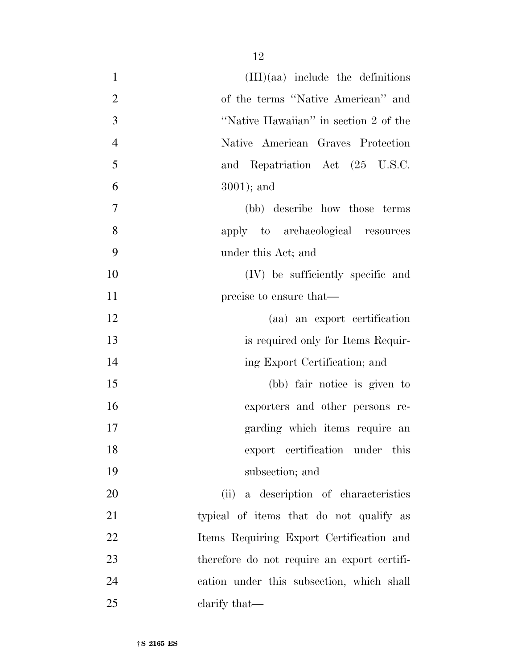| $\mathbf{1}$   | $(III)(aa)$ include the definitions         |
|----------------|---------------------------------------------|
| $\overline{2}$ | of the terms "Native American" and          |
| 3              | "Native Hawaiian" in section 2 of the       |
| $\overline{4}$ | Native American Graves Protection           |
| 5              | and Repatriation Act (25 U.S.C.             |
| 6              | $3001$ ; and                                |
| 7              | (bb) describe how those terms               |
| 8              | apply to archaeological resources           |
| 9              | under this Act; and                         |
| 10             | (IV) be sufficiently specific and           |
| 11             | precise to ensure that—                     |
| 12             | (aa) an export certification                |
| 13             | is required only for Items Requir-          |
| 14             | ing Export Certification; and               |
| 15             | (bb) fair notice is given to                |
| 16             | exporters and other persons re-             |
| 17             | garding which items require an              |
| 18             | export certification under this             |
| 19             | subsection; and                             |
| 20             | (ii) a description of characteristics       |
| 21             | typical of items that do not qualify as     |
| 22             | Items Requiring Export Certification and    |
| 23             | therefore do not require an export certifi- |
| 24             | cation under this subsection, which shall   |
| 25             | clarify that—                               |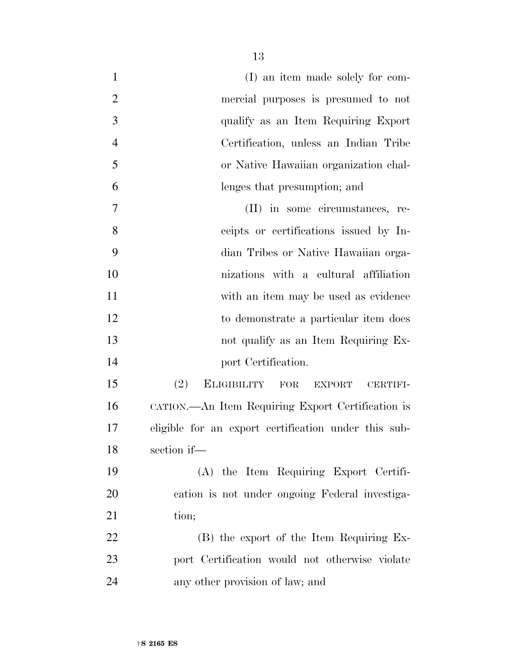| $\mathbf{1}$   | (I) an item made solely for com-                     |
|----------------|------------------------------------------------------|
| $\overline{2}$ | mercial purposes is presumed to not                  |
| 3              | qualify as an Item Requiring Export                  |
| $\overline{4}$ | Certification, unless an Indian Tribe                |
| 5              | or Native Hawaiian organization chal-                |
| 6              | lenges that presumption; and                         |
| 7              | (II) in some circumstances, re-                      |
| 8              | ceipts or certifications issued by In-               |
| 9              | dian Tribes or Native Hawaiian orga-                 |
| 10             | nizations with a cultural affiliation                |
| 11             | with an item may be used as evidence                 |
| 12             | to demonstrate a particular item does                |
| 13             | not qualify as an Item Requiring Ex-                 |
| 14             | port Certification.                                  |
| 15             | (2)<br>ELIGIBILITY FOR<br>EXPORT<br><b>CERTIFI-</b>  |
| 16             | CATION.—An Item Requiring Export Certification is    |
| 17             | eligible for an export certification under this sub- |
| 18             | section if-                                          |
| 19             | (A) the Item Requiring Export Certifi-               |
| 20             | cation is not under ongoing Federal investiga-       |
| 21             | tion;                                                |
| 22             | (B) the export of the Item Requiring Ex-             |
| 23             | port Certification would not otherwise violate       |
| 24             | any other provision of law; and                      |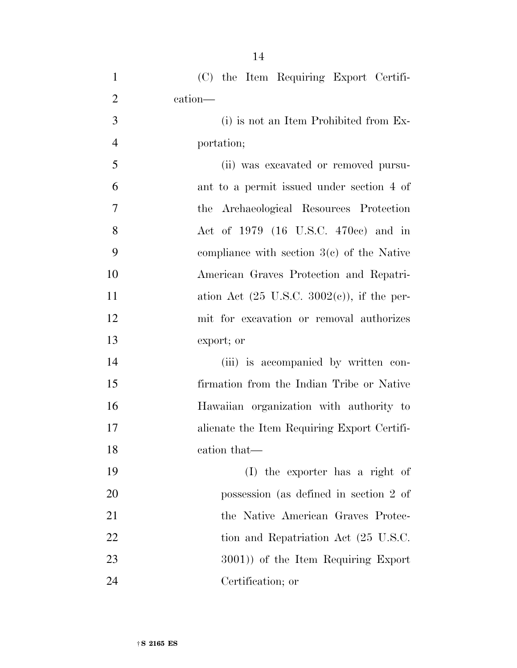| $\mathbf{1}$   | (C) the Item Requiring Export Certifi-                 |
|----------------|--------------------------------------------------------|
| $\overline{2}$ | cation—                                                |
| 3              | (i) is not an Item Prohibited from Ex-                 |
| $\overline{4}$ | portation;                                             |
| 5              | (ii) was excavated or removed pursu-                   |
| 6              | ant to a permit issued under section 4 of              |
| $\overline{7}$ | the Archaeological Resources Protection                |
| 8              | Act of 1979 (16 U.S.C. 470cc) and in                   |
| 9              | compliance with section $3(c)$ of the Native           |
| 10             | American Graves Protection and Repatri-                |
| 11             | ation Act $(25 \text{ U.S.C. } 3002(e))$ , if the per- |
| 12             | mit for excavation or removal authorizes               |
| 13             | export; or                                             |
| 14             | (iii) is accompanied by written con-                   |
| 15             | firmation from the Indian Tribe or Native              |
| 16             | Hawaiian organization with authority to                |
| 17             | alienate the Item Requiring Export Certifi-            |
| 18             | cation that-                                           |
| 19             | (I) the exporter has a right of                        |
| 20             | possession (as defined in section 2 of                 |
| 21             | the Native American Graves Protec-                     |
| 22             | tion and Repatriation Act (25 U.S.C.                   |
| 23             | 3001) of the Item Requiring Export                     |
| 24             | Certification; or                                      |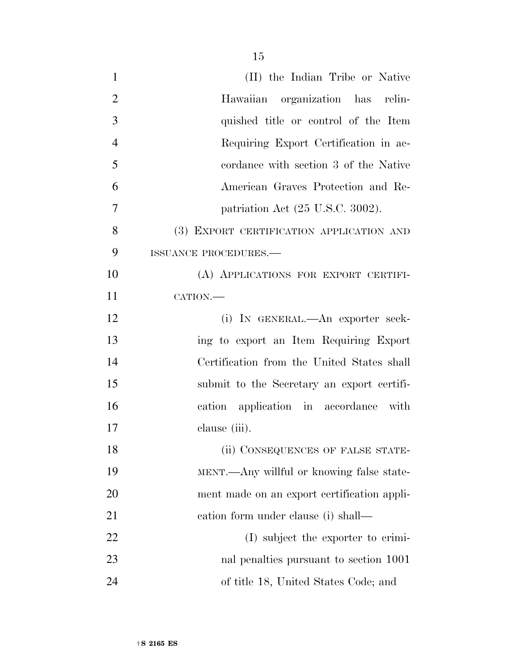| $\mathbf{1}$   | (II) the Indian Tribe or Native              |
|----------------|----------------------------------------------|
| $\overline{2}$ | Hawaiian organization has relin-             |
| 3              | quished title or control of the Item         |
| $\overline{4}$ | Requiring Export Certification in ac-        |
| 5              | cordance with section 3 of the Native        |
| 6              | American Graves Protection and Re-           |
| $\overline{7}$ | patriation Act $(25 \text{ U.S.C. } 3002)$ . |
| 8              | (3) EXPORT CERTIFICATION APPLICATION AND     |
| 9              | <b>ISSUANCE PROCEDURES.—</b>                 |
| 10             | (A) APPLICATIONS FOR EXPORT CERTIFI-         |
| 11             | CATION.-                                     |
| 12             | (i) IN GENERAL.—An exporter seek-            |
| 13             | ing to export an Item Requiring Export       |
| 14             | Certification from the United States shall   |
| 15             | submit to the Secretary an export certifi-   |
| 16             | cation application in accordance with        |
| 17             | clause (iii).                                |
| 18             | (ii) CONSEQUENCES OF FALSE STATE-            |
| 19             | MENT.—Any willful or knowing false state-    |
| 20             | ment made on an export certification appli-  |
| 21             | eation form under clause (i) shall—          |
| 22             | (I) subject the exporter to crimi-           |
| 23             | nal penalties pursuant to section 1001       |
| 24             | of title 18, United States Code; and         |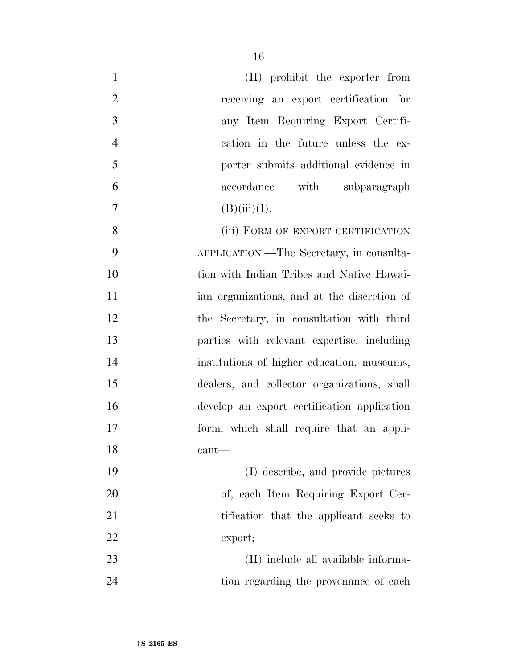| $\mathbf{1}$   | (II) prohibit the exporter from             |
|----------------|---------------------------------------------|
| $\overline{2}$ | receiving an export certification for       |
| 3              | any Item Requiring Export Certifi-          |
| $\overline{4}$ | cation in the future unless the ex-         |
| 5              | porter submits additional evidence in       |
| 6              | accordance with subparagraph                |
| $\overline{7}$ | (B)(iii)(I).                                |
| 8              | (iii) FORM OF EXPORT CERTIFICATION          |
| 9              | APPLICATION.—The Secretary, in consulta-    |
| 10             | tion with Indian Tribes and Native Hawai-   |
| 11             | ian organizations, and at the discretion of |
| 12             | the Secretary, in consultation with third   |
| 13             | parties with relevant expertise, including  |
| 14             | institutions of higher education, museums,  |
| 15             | dealers, and collector organizations, shall |
| 16             | develop an export certification application |
| 17             | form, which shall require that an appli-    |
| 18             | $\text{cant}$                               |
| 19             | (I) describe, and provide pictures          |
| 20             | of, each Item Requiring Export Cer-         |
| 21             | tification that the applicant seeks to      |
| 22             | export;                                     |
| 23             | (II) include all available informa-         |
|                |                                             |

tion regarding the provenance of each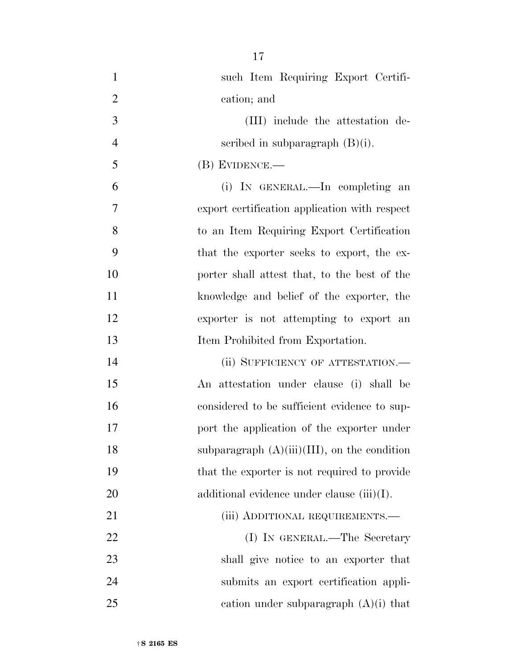| $\mathbf{1}$   | such Item Requiring Export Certifi-             |
|----------------|-------------------------------------------------|
| $\overline{2}$ | cation; and                                     |
| 3              | (III) include the attestation de-               |
| $\overline{4}$ | scribed in subparagraph $(B)(i)$ .              |
| 5              | $(B)$ EVIDENCE.—                                |
| 6              | (i) IN GENERAL.—In completing an                |
| $\overline{7}$ | export certification application with respect   |
| 8              | to an Item Requiring Export Certification       |
| 9              | that the exporter seeks to export, the ex-      |
| 10             | porter shall attest that, to the best of the    |
| 11             | knowledge and belief of the exporter, the       |
| 12             | exporter is not attempting to export an         |
| 13             | Item Prohibited from Exportation.               |
| 14             | (ii) SUFFICIENCY OF ATTESTATION.—               |
| 15             | An attestation under clause (i) shall be        |
| 16             | considered to be sufficient evidence to sup-    |
| 17             | port the application of the exporter under      |
| 18             | subparagraph $(A)(iii)(III)$ , on the condition |
| 19             | that the exporter is not required to provide    |
| 20             | additional evidence under clause $(iii)(I)$ .   |
| 21             | (iii) ADDITIONAL REQUIREMENTS.—                 |
| 22             | (I) IN GENERAL.—The Secretary                   |
| 23             | shall give notice to an exporter that           |
| 24             | submits an export certification appli-          |
| 25             | cation under subparagraph $(A)(i)$ that         |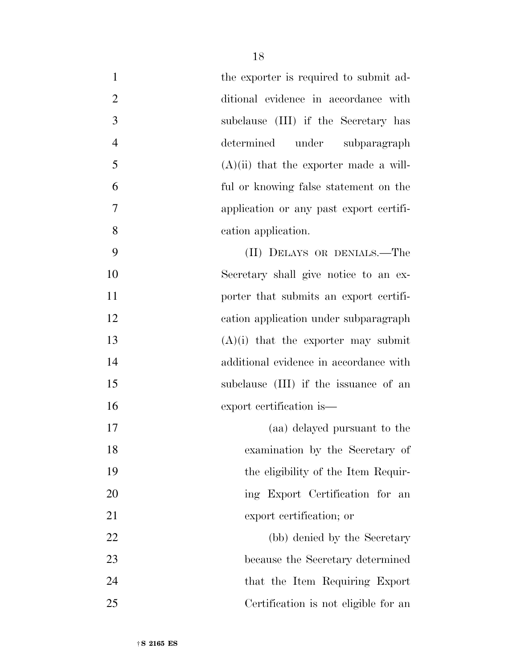| $\mathbf{1}$   | the exporter is required to submit ad-   |
|----------------|------------------------------------------|
| 2              | ditional evidence in accordance with     |
| $\mathfrak{Z}$ | subclause (III) if the Secretary has     |
| $\overline{4}$ | determined under subparagraph            |
| 5              | $(A)(ii)$ that the exporter made a will- |
| 6              | ful or knowing false statement on the    |
| 7              | application or any past export certifi-  |
| 8              | cation application.                      |
| 9              | (II) DELAYS OR DENIALS.—The              |
| 10             | Secretary shall give notice to an ex-    |
| 11             | porter that submits an export certifi-   |
| 12             | cation application under subparagraph    |
| 13             | $(A)(i)$ that the exporter may submit    |
| 14             | additional evidence in accordance with   |
| 15             | subclause (III) if the issuance of an    |
| 16             | export certification is—                 |
| 17             | (aa) delayed pursuant to the             |
| 18             | examination by the Secretary of          |
| 19             | the eligibility of the Item Requir-      |
| 20             | ing Export Certification for an          |
| 21             | export certification; or                 |
| 22             | (bb) denied by the Secretary             |
| 23             | because the Secretary determined         |
| 24             | that the Item Requiring Export           |
| 25             | Certification is not eligible for an     |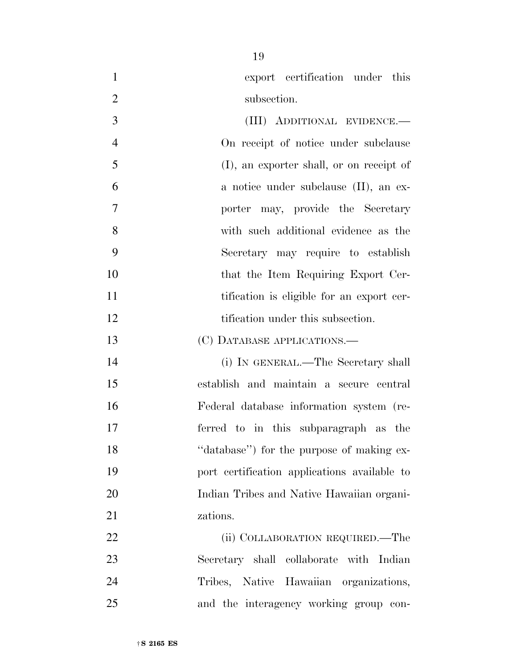| $\mathbf{1}$   | export certification under this              |
|----------------|----------------------------------------------|
| $\overline{2}$ | subsection.                                  |
| 3              | (III) ADDITIONAL EVIDENCE.—                  |
| $\overline{4}$ | On receipt of notice under subclause         |
| 5              | (I), an exporter shall, or on receipt of     |
| 6              | a notice under subclause (II), an ex-        |
| $\overline{7}$ | porter may, provide the Secretary            |
| 8              | with such additional evidence as the         |
| 9              | Secretary may require to establish           |
| 10             | that the Item Requiring Export Cer-          |
| 11             | tification is eligible for an export cer-    |
| 12             | tification under this subsection.            |
| 13             | (C) DATABASE APPLICATIONS.—                  |
| 14             | (i) IN GENERAL.—The Secretary shall          |
| 15             | establish and maintain a secure central      |
| 16             | Federal database information system (re-     |
| 17             | ferred to in this subparagraph as the        |
| 18             | "database") for the purpose of making ex-    |
| 19             | port certification applications available to |
| 20             | Indian Tribes and Native Hawaiian organi-    |
| 21             | zations.                                     |
| 22             | (ii) COLLABORATION REQUIRED.—The             |
| 23             | Secretary shall collaborate with Indian      |
| 24             | Tribes, Native Hawaiian organizations,       |

and the interagency working group con-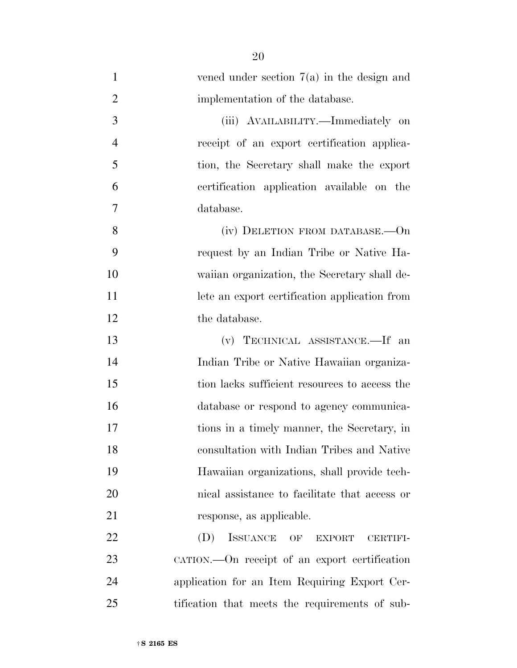| $\mathbf{1}$   | vened under section $7(a)$ in the design and    |
|----------------|-------------------------------------------------|
| $\overline{2}$ | implementation of the database.                 |
| 3              | (iii) AVAILABILITY.—Immediately on              |
| $\overline{4}$ | receipt of an export certification applica-     |
| 5              | tion, the Secretary shall make the export       |
| 6              | certification application available on the      |
| 7              | database.                                       |
| 8              | (iv) DELETION FROM DATABASE.—On                 |
| 9              | request by an Indian Tribe or Native Ha-        |
| 10             | waiian organization, the Secretary shall de-    |
| 11             | lete an export certification application from   |
| 12             | the database.                                   |
| 13             | (v) TECHNICAL ASSISTANCE.—If an                 |
| 14             | Indian Tribe or Native Hawaiian organiza-       |
| 15             | tion lacks sufficient resources to access the   |
| 16             | database or respond to agency communica-        |
| 17             | tions in a timely manner, the Secretary, in     |
| 18             | consultation with Indian Tribes and Native      |
| 19             | Hawaiian organizations, shall provide tech-     |
| 20             | nical assistance to facilitate that access or   |
| 21             | response, as applicable.                        |
| 22             | ISSUANCE OF<br>(D)<br><b>EXPORT</b><br>CERTIFI- |
| 23             | CATION.—On receipt of an export certification   |
| 24             | application for an Item Requiring Export Cer-   |
| 25             | tification that meets the requirements of sub-  |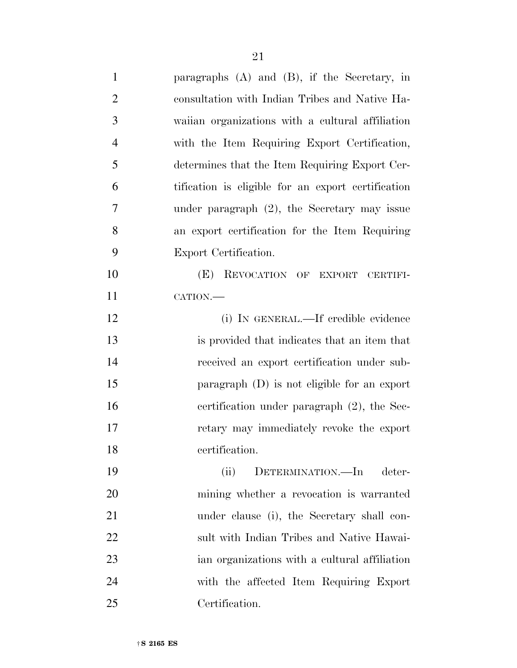| $\mathbf{1}$   | paragraphs $(A)$ and $(B)$ , if the Secretary, in  |
|----------------|----------------------------------------------------|
| $\overline{2}$ | consultation with Indian Tribes and Native Ha-     |
| 3              | waiian organizations with a cultural affiliation   |
| $\overline{4}$ | with the Item Requiring Export Certification,      |
| 5              | determines that the Item Requiring Export Cer-     |
| 6              | tification is eligible for an export certification |
| 7              | under paragraph $(2)$ , the Secretary may issue    |
| 8              | an export certification for the Item Requiring     |
| 9              | Export Certification.                              |
| 10             | (E)<br>REVOCATION OF EXPORT CERTIFI-               |
| 11             | CATION.                                            |
| 12             | (i) IN GENERAL.—If credible evidence               |
| 13             | is provided that indicates that an item that       |
| 14             | received an export certification under sub-        |
| 15             | paragraph $(D)$ is not eligible for an export      |
| 16             | certification under paragraph (2), the Sec-        |
| 17             | retary may immediately revoke the export           |
| 18             | certification.                                     |
| 19             | (ii)<br>DETERMINATION.—In<br>deter-                |
| 20             | mining whether a revocation is warranted           |
| 21             | under clause (i), the Secretary shall con-         |
| 22             | sult with Indian Tribes and Native Hawai-          |
| 23             | ian organizations with a cultural affiliation      |
| 24             | with the affected Item Requiring Export            |
| 25             | Certification.                                     |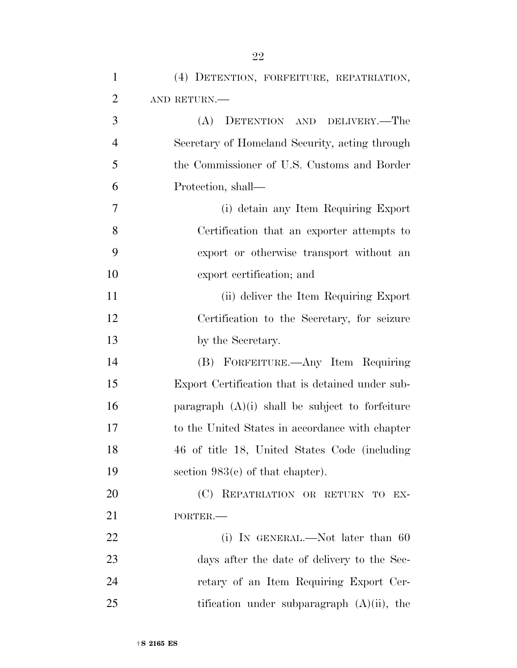| $\mathbf{1}$   | (4) DETENTION, FORFEITURE, REPATRIATION,          |
|----------------|---------------------------------------------------|
| $\overline{2}$ | AND RETURN.                                       |
| 3              | DETENTION AND DELIVERY.-The<br>(A)                |
| 4              | Secretary of Homeland Security, acting through    |
| 5              | the Commissioner of U.S. Customs and Border       |
| 6              | Protection, shall—                                |
| 7              | (i) detain any Item Requiring Export              |
| 8              | Certification that an exporter attempts to        |
| 9              | export or otherwise transport without an          |
| 10             | export certification; and                         |
| 11             | (ii) deliver the Item Requiring Export            |
| 12             | Certification to the Secretary, for seizure       |
| 13             | by the Secretary.                                 |
| 14             | (B) FORFEITURE.—Any Item Requiring                |
| 15             | Export Certification that is detained under sub-  |
| 16             | paragraph $(A)(i)$ shall be subject to forfeiture |
| 17             | to the United States in accordance with chapter   |
| 18             | 46 of title 18, United States Code (including     |
| 19             | section $983(c)$ of that chapter).                |
| <b>20</b>      | (C) REPATRIATION OR RETURN TO EX-                 |
| 21             | PORTER.                                           |
| 22             | (i) IN GENERAL.—Not later than $60$               |
| 23             | days after the date of delivery to the Sec-       |
| 24             | retary of an Item Requiring Export Cer-           |
| 25             | tification under subparagraph $(A)(ii)$ , the     |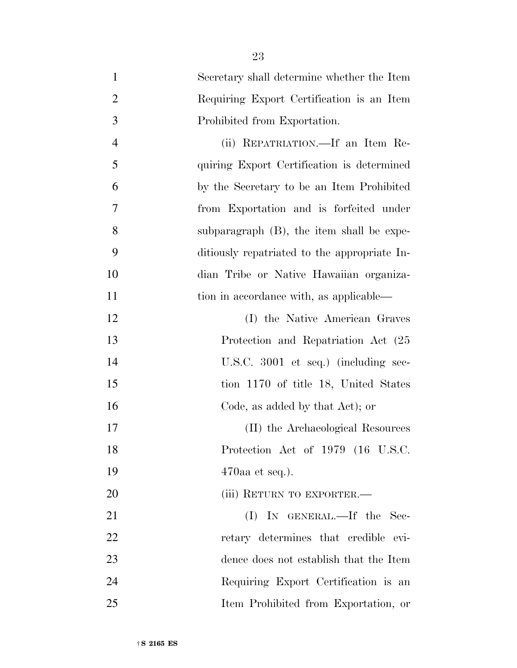| $\mathbf{1}$   | Secretary shall determine whether the Item   |
|----------------|----------------------------------------------|
| $\overline{2}$ | Requiring Export Certification is an Item    |
| 3              | Prohibited from Exportation.                 |
| $\overline{4}$ | (ii) REPATRIATION.—If an Item Re-            |
| 5              | quiring Export Certification is determined   |
| 6              | by the Secretary to be an Item Prohibited    |
| 7              | from Exportation and is forfeited under      |
| 8              | subparagraph (B), the item shall be expe-    |
| 9              | ditiously repatriated to the appropriate In- |
| 10             | dian Tribe or Native Hawaiian organiza-      |
| 11             | tion in accordance with, as applicable—      |
| 12             | (I) the Native American Graves               |
| 13             | Protection and Repatriation Act (25          |
| 14             | U.S.C. 3001 et seq.) (including sec-         |
| 15             | tion 1170 of title 18, United States         |
| 16             | Code, as added by that Act); or              |
| 17             | (II) the Archaeological Resources            |
| 18             | Protection Act of 1979 (16 U.S.C.            |
| 19             | $470$ aa et seq.).                           |
| 20             | (iii) RETURN TO EXPORTER.—                   |
| 21             | (I) IN GENERAL.—If the Sec-                  |
| 22             | retary determines that credible evi-         |
| 23             | dence does not establish that the Item       |
| 24             | Requiring Export Certification is an         |
| 25             | Item Prohibited from Exportation, or         |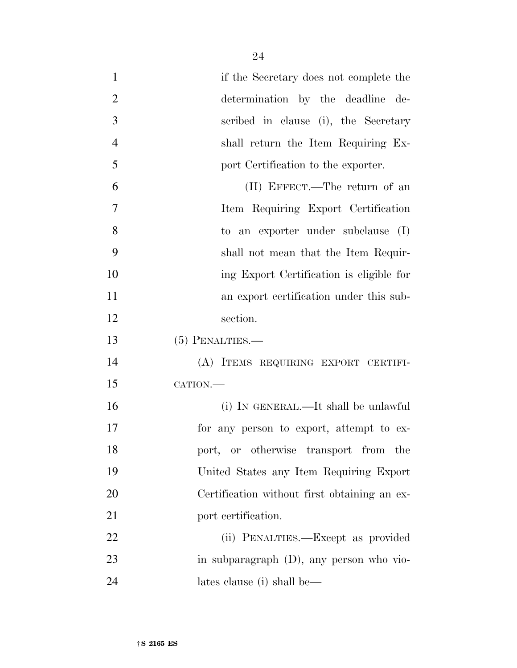| $\mathbf{1}$   | if the Secretary does not complete the       |
|----------------|----------------------------------------------|
| $\overline{2}$ | determination by the deadline de-            |
| 3              | scribed in clause (i), the Secretary         |
| $\overline{4}$ | shall return the Item Requiring Ex-          |
| 5              | port Certification to the exporter.          |
| 6              | (II) EFFECT.—The return of an                |
| 7              | Item Requiring Export Certification          |
| 8              | to an exporter under subclause (I)           |
| 9              | shall not mean that the Item Requir-         |
| 10             | ing Export Certification is eligible for     |
| 11             | an export certification under this sub-      |
| 12             | section.                                     |
| 13             | $(5)$ PENALTIES.—                            |
| 14             | (A) ITEMS REQUIRING EXPORT CERTIFI-          |
| 15             | CATION.-                                     |
| 16             | (i) IN GENERAL.—It shall be unlawful         |
| 17             | for any person to export, attempt to ex-     |
| 18             | port, or otherwise transport from the        |
| 19             | United States any Item Requiring Export      |
| 20             | Certification without first obtaining an ex- |
| 21             | port certification.                          |
| 22             | (ii) PENALTIES.—Except as provided           |
| 23             | in subparagraph (D), any person who vio-     |
| 24             | lates clause (i) shall be—                   |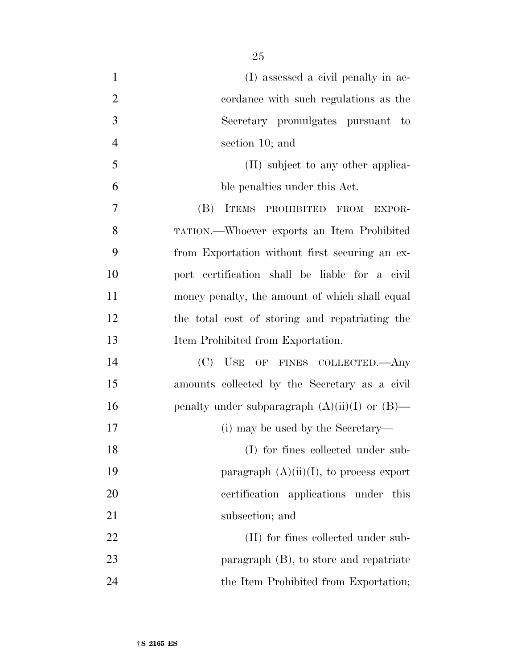| $\mathbf{1}$   | (I) assessed a civil penalty in ac-                |
|----------------|----------------------------------------------------|
| $\overline{2}$ | cordance with such regulations as the              |
| 3              | Secretary promulgates pursuant to                  |
| $\overline{4}$ | section 10; and                                    |
| 5              | (II) subject to any other applica-                 |
| 6              | ble penalties under this Act.                      |
| 7              | (B)<br>ITEMS PROHIBITED FROM<br>EXPOR-             |
| 8              | TATION.—Whoever exports an Item Prohibited         |
| 9              | from Exportation without first securing an ex-     |
| 10             | port certification shall be liable for a civil     |
| 11             | money penalty, the amount of which shall equal     |
| 12             | the total cost of storing and repatriating the     |
| 13             | Item Prohibited from Exportation.                  |
| 14             | (C)<br>USE OF FINES COLLECTED.—Any                 |
| 15             | amounts collected by the Secretary as a civil      |
| 16             | penalty under subparagraph $(A)(ii)(I)$ or $(B)$ — |
| 17             | (i) may be used by the Secretary—                  |
| 18             | (I) for fines collected under sub-                 |
| 19             | paragraph $(A)(ii)(I)$ , to process export         |
| 20             | certification applications under this              |
| 21             | subsection; and                                    |
| 22             | (II) for fines collected under sub-                |
| 23             | paragraph $(B)$ , to store and repatriate          |
| 24             | the Item Prohibited from Exportation;              |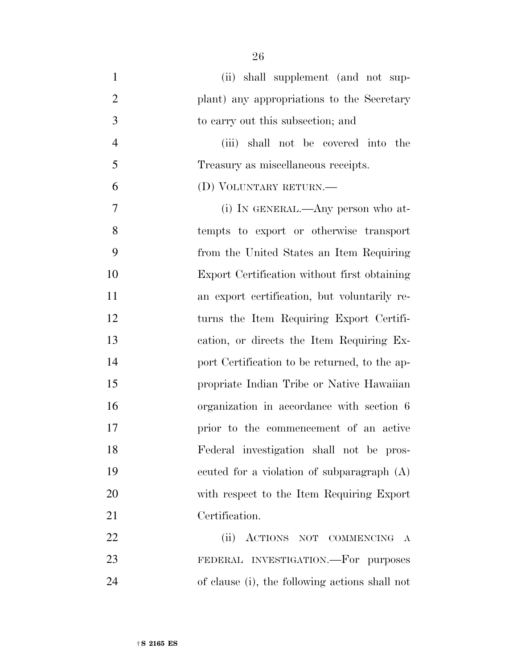(ii) shall supplement (and not sup- plant) any appropriations to the Secretary to carry out this subsection; and (iii) shall not be covered into the Treasury as miscellaneous receipts. (D) VOLUNTARY RETURN.— (i) IN GENERAL.—Any person who at- tempts to export or otherwise transport from the United States an Item Requiring Export Certification without first obtaining an export certification, but voluntarily re- turns the Item Requiring Export Certifi- cation, or directs the Item Requiring Ex- port Certification to be returned, to the ap- propriate Indian Tribe or Native Hawaiian organization in accordance with section 6 prior to the commencement of an active Federal investigation shall not be pros- ecuted for a violation of subparagraph (A) with respect to the Item Requiring Export Certification. (ii) ACTIONS NOT COMMENCING A

 FEDERAL INVESTIGATION.—For purposes of clause (i), the following actions shall not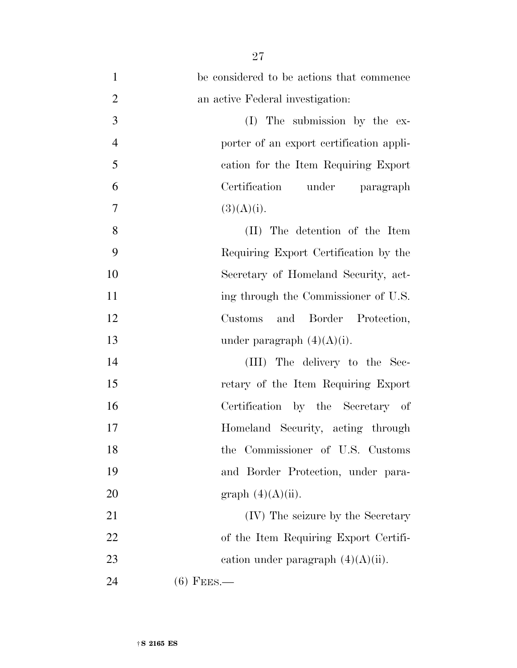| $\mathbf{1}$   | be considered to be actions that commence |
|----------------|-------------------------------------------|
| $\overline{2}$ | an active Federal investigation:          |
| 3              | (I) The submission by the ex-             |
| $\overline{4}$ | porter of an export certification appli-  |
| $\mathfrak{S}$ | cation for the Item Requiring Export      |
| 6              | Certification under paragraph             |
| $\tau$         | (3)(A)(i).                                |
| 8              | (II) The detention of the Item            |
| 9              | Requiring Export Certification by the     |
| 10             | Secretary of Homeland Security, act-      |
| 11             | ing through the Commissioner of U.S.      |
| 12             | and Border Protection,<br>Customs         |
| 13             | under paragraph $(4)(A)(i)$ .             |
| 14             | (III) The delivery to the Sec-            |
| 15             | retary of the Item Requiring Export       |
| 16             | Certification by the Secretary of         |
| 17             | Homeland Security, acting through         |
| 18             | the Commissioner of U.S. Customs          |
| 19             | and Border Protection, under para-        |
| 20             | graph $(4)(A)(ii)$ .                      |
| 21             | (IV) The seizure by the Secretary         |
| 22             | of the Item Requiring Export Certifi-     |
| 23             | cation under paragraph $(4)(A)(ii)$ .     |
| 24             | $(6)$ Fees.—                              |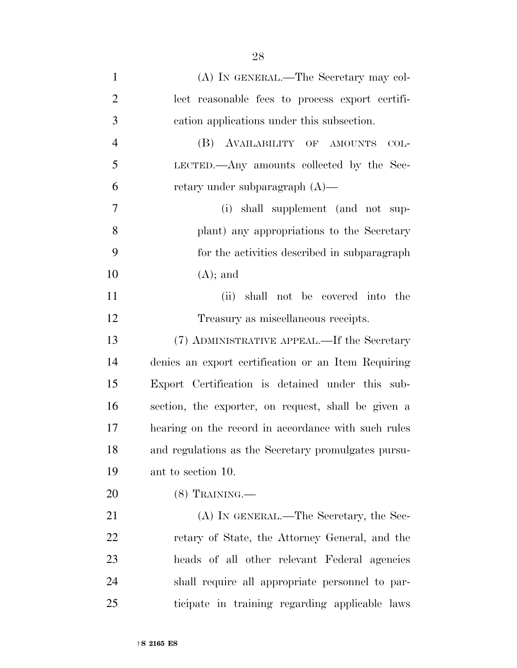(A) IN GENERAL.—The Secretary may col- lect reasonable fees to process export certifi- cation applications under this subsection. (B) AVAILABILITY OF AMOUNTS COL- LECTED.—Any amounts collected by the Sec- retary under subparagraph (A)— (i) shall supplement (and not sup- plant) any appropriations to the Secretary for the activities described in subparagraph 10  $(A)$ ; and (ii) shall not be covered into the Treasury as miscellaneous receipts. (7) ADMINISTRATIVE APPEAL.—If the Secretary denies an export certification or an Item Requiring Export Certification is detained under this sub- section, the exporter, on request, shall be given a hearing on the record in accordance with such rules and regulations as the Secretary promulgates pursu- ant to section 10. (8) TRAINING.— 21 (A) IN GENERAL.—The Secretary, the Sec- retary of State, the Attorney General, and the heads of all other relevant Federal agencies shall require all appropriate personnel to par-

ticipate in training regarding applicable laws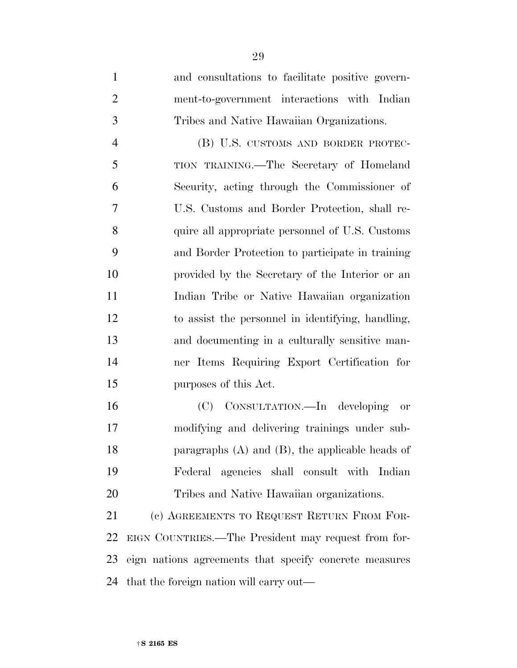and consultations to facilitate positive govern- ment-to-government interactions with Indian Tribes and Native Hawaiian Organizations.

 (B) U.S. CUSTOMS AND BORDER PROTEC- TION TRAINING.—The Secretary of Homeland Security, acting through the Commissioner of U.S. Customs and Border Protection, shall re- quire all appropriate personnel of U.S. Customs and Border Protection to participate in training provided by the Secretary of the Interior or an Indian Tribe or Native Hawaiian organization to assist the personnel in identifying, handling, and documenting in a culturally sensitive man- ner Items Requiring Export Certification for purposes of this Act.

 (C) CONSULTATION.—In developing or modifying and delivering trainings under sub- paragraphs (A) and (B), the applicable heads of Federal agencies shall consult with Indian Tribes and Native Hawaiian organizations.

 (c) AGREEMENTS TO REQUEST RETURN FROM FOR- EIGN COUNTRIES.—The President may request from for- eign nations agreements that specify concrete measures that the foreign nation will carry out—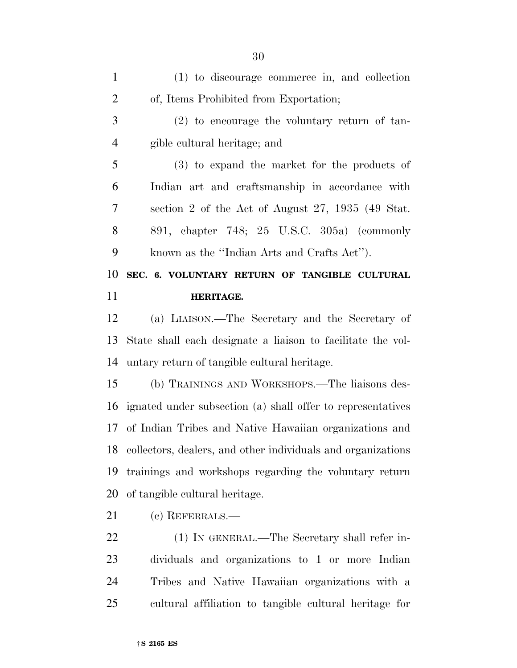| $\mathbf{1}$   | (1) to discourage commerce in, and collection                   |
|----------------|-----------------------------------------------------------------|
| $\overline{2}$ | of, Items Prohibited from Exportation;                          |
| 3              | $(2)$ to encourage the voluntary return of tan-                 |
| $\overline{4}$ | gible cultural heritage; and                                    |
| 5              | $(3)$ to expand the market for the products of                  |
| 6              | Indian art and craftsmanship in accordance with                 |
| 7              | section 2 of the Act of August 27, 1935 (49 Stat.               |
| 8              | 891, chapter 748; 25 U.S.C. 305a) (commonly                     |
| 9              | known as the "Indian Arts and Crafts Act").                     |
| 10             | SEC. 6. VOLUNTARY RETURN OF TANGIBLE CULTURAL                   |
| 11             | HERITAGE.                                                       |
| 12             | (a) LIAISON.—The Secretary and the Secretary of                 |
| 13             | State shall each designate a liaison to facilitate the vol-     |
| 14             | untary return of tangible cultural heritage.                    |
| 15             | (b) TRAININGS AND WORKSHOPS.—The liaisons des-                  |
| 16             | ignated under subsection (a) shall offer to representatives     |
| 17             | of Indian Tribes and Native Hawaiian organizations and          |
|                | 18 collectors, dealers, and other individuals and organizations |
| 19             |                                                                 |
|                | trainings and workshops regarding the voluntary return          |
| 20             | of tangible cultural heritage.                                  |
| 21             | (c) REFERRALS.—                                                 |
| 22             | (1) IN GENERAL.—The Secretary shall refer in-                   |

 Tribes and Native Hawaiian organizations with a cultural affiliation to tangible cultural heritage for

†**S 2165 ES**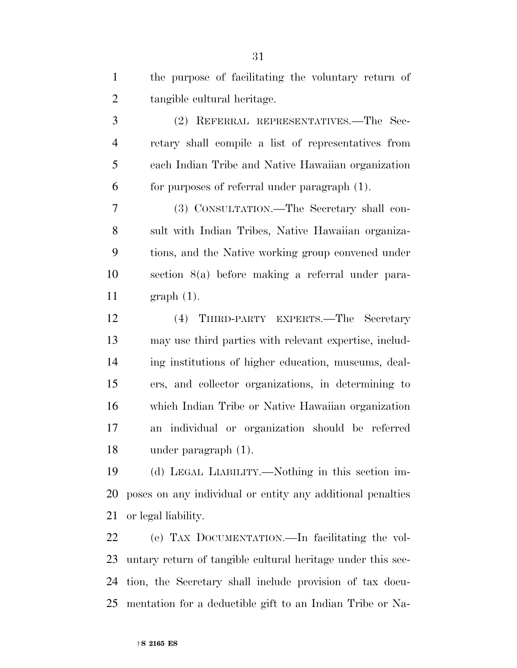| $\mathbf{1}$   | the purpose of facilitating the voluntary return of        |
|----------------|------------------------------------------------------------|
| $\overline{2}$ | tangible cultural heritage.                                |
| $\mathfrak{Z}$ | (2) REFERRAL REPRESENTATIVES.—The Sec-                     |
| $\overline{4}$ | retary shall compile a list of representatives from        |
| 5              | each Indian Tribe and Native Hawaiian organization         |
| 6              | for purposes of referral under paragraph (1).              |
| 7              | (3) CONSULTATION.—The Secretary shall con-                 |
| 8              | sult with Indian Tribes, Native Hawaiian organiza-         |
| 9              | tions, and the Native working group convened under         |
| 10             | section 8(a) before making a referral under para-          |
| 11             | $graph(1)$ .                                               |
| 12             | (4) THIRD-PARTY EXPERTS.—The Secretary                     |
| 13             | may use third parties with relevant expertise, includ-     |
| 14             | ing institutions of higher education, museums, deal-       |
| 15             | ers, and collector organizations, in determining to        |
| 16             | which Indian Tribe or Native Hawaiian organization         |
| 17             | an individual or organization should be referred           |
| 18             | under paragraph $(1)$ .                                    |
| 19             | (d) LEGAL LIABILITY.—Nothing in this section im-           |
| 20             | poses on any individual or entity any additional penalties |
| 21             | or legal liability.                                        |

 (e) TAX DOCUMENTATION.—In facilitating the vol- untary return of tangible cultural heritage under this sec- tion, the Secretary shall include provision of tax docu-mentation for a deductible gift to an Indian Tribe or Na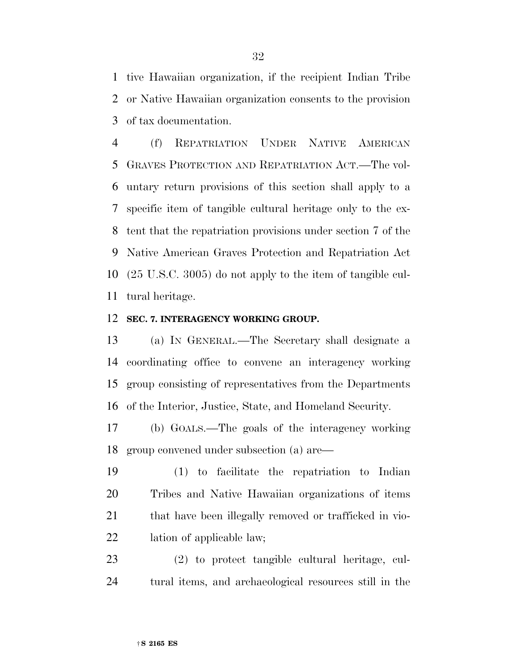tive Hawaiian organization, if the recipient Indian Tribe or Native Hawaiian organization consents to the provision of tax documentation.

 (f) REPATRIATION UNDER NATIVE AMERICAN GRAVES PROTECTION AND REPATRIATION ACT.—The vol- untary return provisions of this section shall apply to a specific item of tangible cultural heritage only to the ex- tent that the repatriation provisions under section 7 of the Native American Graves Protection and Repatriation Act (25 U.S.C. 3005) do not apply to the item of tangible cul-tural heritage.

#### **SEC. 7. INTERAGENCY WORKING GROUP.**

 (a) IN GENERAL.—The Secretary shall designate a coordinating office to convene an interagency working group consisting of representatives from the Departments of the Interior, Justice, State, and Homeland Security.

 (b) GOALS.—The goals of the interagency working group convened under subsection (a) are—

 (1) to facilitate the repatriation to Indian Tribes and Native Hawaiian organizations of items 21 that have been illegally removed or trafficked in vio-lation of applicable law;

 (2) to protect tangible cultural heritage, cul-tural items, and archaeological resources still in the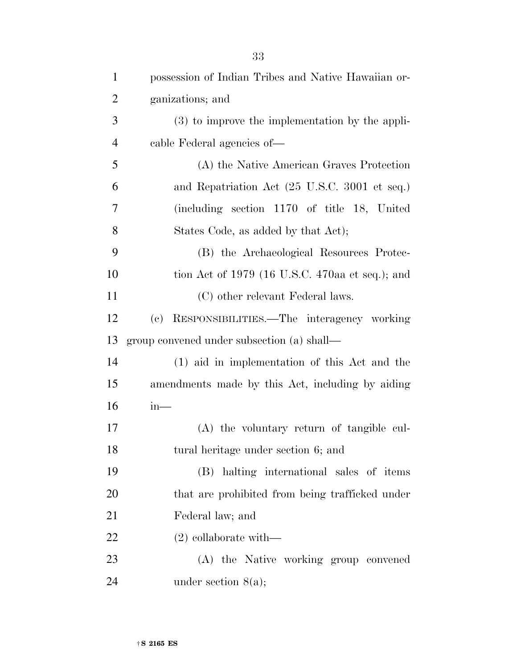| $\mathbf{1}$   | possession of Indian Tribes and Native Hawaiian or- |
|----------------|-----------------------------------------------------|
| $\overline{2}$ | ganizations; and                                    |
| 3              | $(3)$ to improve the implementation by the appli-   |
| $\overline{4}$ | cable Federal agencies of—                          |
| 5              | (A) the Native American Graves Protection           |
| 6              | and Repatriation Act (25 U.S.C. 3001 et seq.)       |
| 7              | (including section 1170 of title 18, United         |
| 8              | States Code, as added by that Act);                 |
| 9              | (B) the Archaeological Resources Protec-            |
| 10             | tion Act of 1979 (16 U.S.C. 470aa et seq.); and     |
| 11             | (C) other relevant Federal laws.                    |
| 12             | (c) RESPONSIBILITIES.—The interagency working       |
| 13             | group convened under subsection (a) shall—          |
|                |                                                     |
| 14             | $(1)$ aid in implementation of this Act and the     |
| 15             | amendments made by this Act, including by aiding    |
| 16             | $in-$                                               |
| 17             | (A) the voluntary return of tangible cul-           |
| 18             | tural heritage under section 6; and                 |
| 19             | (B) halting international sales of items            |
| 20             | that are prohibited from being trafficked under     |
| 21             | Federal law; and                                    |
| 22             | $(2)$ collaborate with—                             |
| 23             | (A) the Native working group convened               |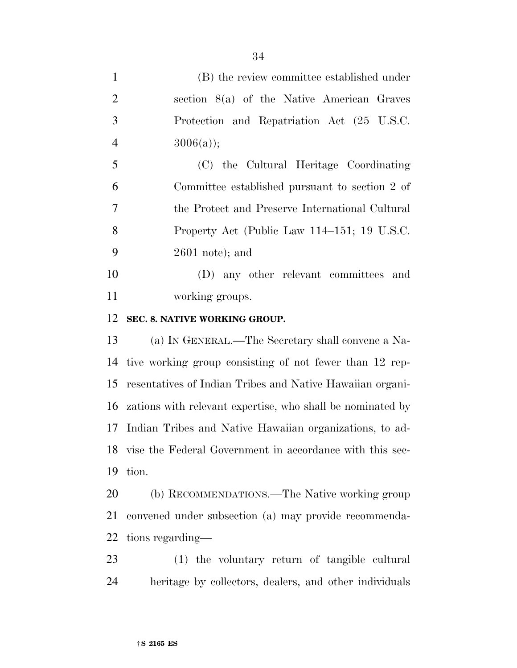(B) the review committee established under section 8(a) of the Native American Graves Protection and Repatriation Act (25 U.S.C. 4  $3006(a)$ ; (C) the Cultural Heritage Coordinating Committee established pursuant to section 2 of the Protect and Preserve International Cultural Property Act (Public Law 114–151; 19 U.S.C. 2601 note); and (D) any other relevant committees and working groups. **SEC. 8. NATIVE WORKING GROUP.**  (a) IN GENERAL.—The Secretary shall convene a Na-

 tive working group consisting of not fewer than 12 rep- resentatives of Indian Tribes and Native Hawaiian organi- zations with relevant expertise, who shall be nominated by Indian Tribes and Native Hawaiian organizations, to ad- vise the Federal Government in accordance with this sec-tion.

 (b) RECOMMENDATIONS.—The Native working group convened under subsection (a) may provide recommenda-tions regarding—

 (1) the voluntary return of tangible cultural heritage by collectors, dealers, and other individuals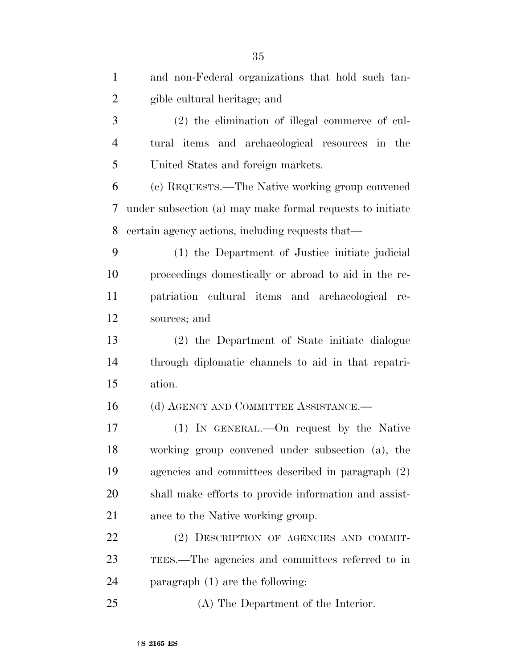| $\mathbf{1}$   | and non-Federal organizations that hold such tan-         |
|----------------|-----------------------------------------------------------|
| $\overline{2}$ | gible cultural heritage; and                              |
| 3              | (2) the elimination of illegal commerce of cul-           |
| $\overline{4}$ | tural items and archaeological resources in the           |
| 5              | United States and foreign markets.                        |
| 6              | (c) REQUESTS.—The Native working group convened           |
| 7              | under subsection (a) may make formal requests to initiate |
| 8              | certain agency actions, including requests that—          |
| 9              | (1) the Department of Justice initiate judicial           |
| 10             | proceedings domestically or abroad to aid in the re-      |
| 11             | patriation cultural items and archaeological re-          |
| 12             | sources; and                                              |
| 13             | (2) the Department of State initiate dialogue             |
| 14             | through diplomatic channels to aid in that repatri-       |
| 15             | ation.                                                    |
| 16             | (d) AGENCY AND COMMITTEE ASSISTANCE.—                     |
| 17             | $(1)$ In GENERAL.—On request by the Native                |
| 18             | working group convened under subsection (a), the          |
| 19             | agencies and committees described in paragraph (2)        |
| 20             | shall make efforts to provide information and assist-     |
| 21             | ance to the Native working group.                         |
| 22             | (2) DESCRIPTION OF AGENCIES AND COMMIT-                   |
| 23             | TEES.—The agencies and committees referred to in          |
| 24             | paragraph $(1)$ are the following:                        |
| 25             | (A) The Department of the Interior.                       |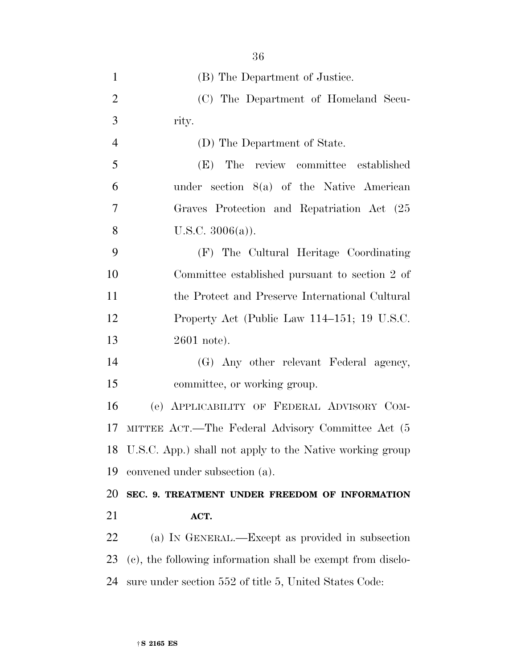| $\mathbf{1}$   | (B) The Department of Justice.                              |
|----------------|-------------------------------------------------------------|
| $\overline{2}$ | (C) The Department of Homeland Secu-                        |
| 3              | rity.                                                       |
| $\overline{4}$ | (D) The Department of State.                                |
| 5              | The review committee established<br>(E)                     |
| 6              | under section $8(a)$ of the Native American                 |
| 7              | Graves Protection and Repatriation Act (25                  |
| 8              | U.S.C. $3006(a)$ ).                                         |
| 9              | (F) The Cultural Heritage Coordinating                      |
| 10             | Committee established pursuant to section 2 of              |
| 11             | the Protect and Preserve International Cultural             |
| 12             | Property Act (Public Law 114–151; 19 U.S.C.                 |
| 13             | $2601$ note).                                               |
| 14             | (G) Any other relevant Federal agency,                      |
| 15             | committee, or working group.                                |
| 16             | (e) APPLICABILITY OF FEDERAL ADVISORY COM-                  |
| 17             | MITTEE ACT.—The Federal Advisory Committee Act (5           |
| 18             | U.S.C. App.) shall not apply to the Native working group    |
| 19             | convened under subsection (a).                              |
| 20             | SEC. 9. TREATMENT UNDER FREEDOM OF INFORMATION              |
| 21             | ACT.                                                        |
| 22             | (a) IN GENERAL.—Except as provided in subsection            |
| 23             | (c), the following information shall be exempt from disclo- |
| 24             | sure under section 552 of title 5, United States Code:      |
|                |                                                             |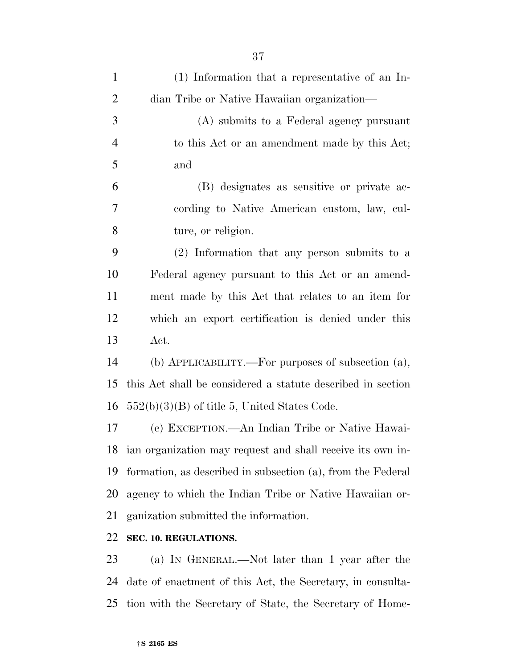| $\mathbf{1}$   | (1) Information that a representative of an In-             |
|----------------|-------------------------------------------------------------|
| $\overline{2}$ | dian Tribe or Native Hawaiian organization—                 |
| 3              | (A) submits to a Federal agency pursuant                    |
| $\overline{4}$ | to this Act or an amendment made by this Act;               |
| 5              | and                                                         |
| 6              | (B) designates as sensitive or private ac-                  |
| 7              | cording to Native American custom, law, cul-                |
| 8              | ture, or religion.                                          |
| 9              | (2) Information that any person submits to a                |
| 10             | Federal agency pursuant to this Act or an amend-            |
| 11             | ment made by this Act that relates to an item for           |
| 12             | which an export certification is denied under this          |
| 13             | Act.                                                        |
| 14             | (b) $APPLICABILITY.$ For purposes of subsection $(a)$ ,     |
| 15             | this Act shall be considered a statute described in section |
| 16             | $552(b)(3)(B)$ of title 5, United States Code.              |
| 17             | (c) EXCEPTION.—An Indian Tribe or Native Hawai-             |
| 18             | ian organization may request and shall receive its own in-  |
| 19             | formation, as described in subsection (a), from the Federal |
| 20             | agency to which the Indian Tribe or Native Hawaiian or-     |
| 21             | ganization submitted the information.                       |
| 22             | SEC. 10. REGULATIONS.                                       |

 (a) IN GENERAL.—Not later than 1 year after the date of enactment of this Act, the Secretary, in consulta-tion with the Secretary of State, the Secretary of Home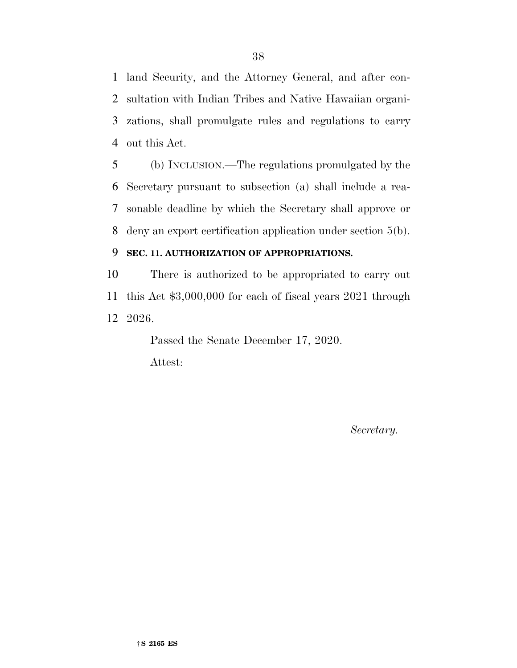land Security, and the Attorney General, and after con- sultation with Indian Tribes and Native Hawaiian organi- zations, shall promulgate rules and regulations to carry out this Act.

 (b) INCLUSION.—The regulations promulgated by the Secretary pursuant to subsection (a) shall include a rea- sonable deadline by which the Secretary shall approve or deny an export certification application under section 5(b).

#### **SEC. 11. AUTHORIZATION OF APPROPRIATIONS.**

 There is authorized to be appropriated to carry out this Act \$3,000,000 for each of fiscal years 2021 through 2026.

> Passed the Senate December 17, 2020. Attest:

> > *Secretary.*